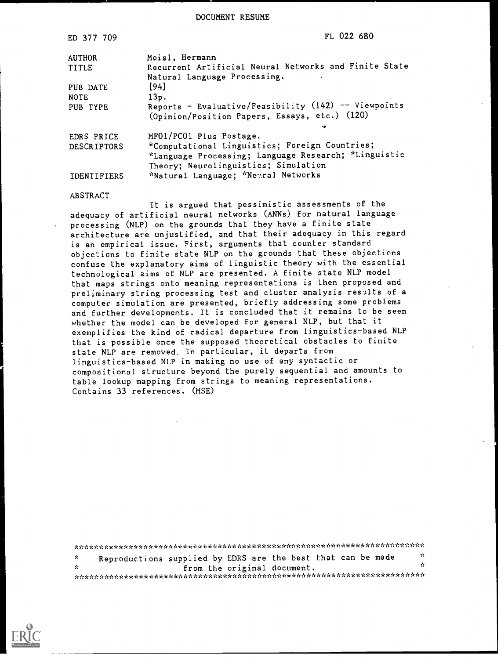DOCUMENT RESUME

| ED 377 709                       | FL 022 680                                                                                                                                                                |  |
|----------------------------------|---------------------------------------------------------------------------------------------------------------------------------------------------------------------------|--|
| <b>AUTHOR</b><br>TITLE           | Moisl, Hermann<br>Recurrent Artificial Neural Networks and Finite State<br>Natural Language Processing.                                                                   |  |
| PUB DATE<br><b>NOTE</b>          | [94]<br>13p.                                                                                                                                                              |  |
| PUB TYPE                         | Reports - Evaluative/Feasibility $(142)$ -- Viewpoints<br>(Opinion/Position Papers, Essays, etc.) (120)                                                                   |  |
| EDRS PRICE<br><b>DESCRIPTORS</b> | MF01/PC01 Plus Postage.<br>*Computational Linguistics; Foreign Countries;<br>*Language Processing; Language Research; *Linguistic<br>Theory; Neurolinguistics; Simulation |  |
| <b>IDENTIFIERS</b>               | *Natural Language; *Newral Networks                                                                                                                                       |  |

#### ABSTRACT

It is argued that pessimistic assessments of the adequacy of artificial neural networks (ANNs) for natural language processing (NLP) on the grounds that they have a finite state architecture are unjustified, and that their adequacy in this regard is an empirical issue. First, arguments that counter standard objections to finite state NLP on the grounds that these objections confuse the explanatory aims of linguistic theory with the essential technological aims of NLP are presented. A finite state NLP model that maps strings onto meaning representations is then proposed and preliminary string processing test and cluster analysis results of a computer simulation are presented, briefly addressing some problems and further developments. It is concluded that it remains to be seen whether the model can be developed for general NLP, but that it exemplifies the kind of radical departure from linguistics-based NLP that is possible once the supposed theoretical obstacles to finite state NLP are removed. In particular, it departs from linguistics-based NLP in making no use of any syntactic or compositional structure beyond the purely sequential and amounts to table lookup mapping from strings to meaning representations. Contains 33 references. (MSE)

 $\mathcal{H}$ Reproductions supplied by EDRS are the best that can be made  $\mathbf{x}$  $\mathbf{r}$  $\mathbf{x}$ from the original document. 

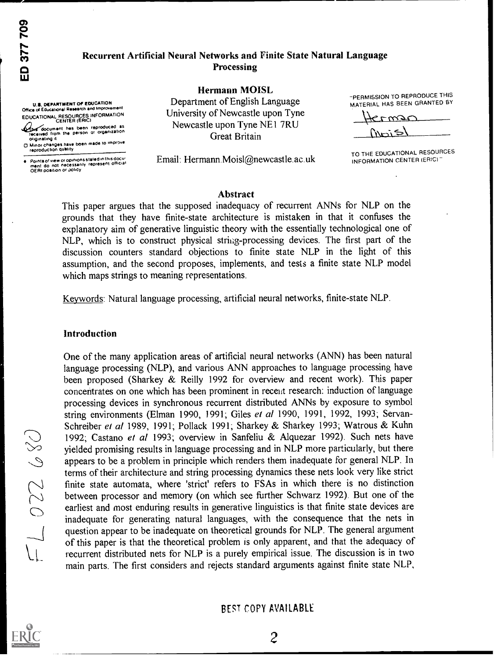# Recurrent Artificial Neural Networks and Finite State Natural Language **Processing**

**Hermann MOISL** 

Department of English Language

University of Newcastle upon Tyne

Newcastle upon Tyne NE1 7RU

Great Britain

**U.S. DEPARTMENT OF EDUCATION** Office of Educational Research and Improveme EDUCATIONAL RESOURCES INFORMATION

document has been reproduced as<br>received from the person or organization<br>originating it

– without the same been made to improve<br>
reproduction quality

Points of view or opinions stated in this docu-<br>ment-do-not-necessarily-represent-official<br>OERI poaition or policy

Email: Hermann.Moisl@newcastle.ac.uk

"PERMISSION TO REPRODUCE THIS MATERIAL HAS BEEN GRANTED BY

Krmsc

TO THE EDUCATIONAL RESOURCES INFORMATION CENTER (ERIC)

### **Abstract**

This paper argues that the supposed inadequacy of recurrent ANNs for NLP on the grounds that they have finite-state architecture is mistaken in that it confuses the explanatory aim of generative linguistic theory with the essentially technological one of NLP, which is to construct physical string-processing devices. The first part of the discussion counters standard objections to finite state NLP in the light of this assumption, and the second proposes, implements, and tests a finite state NLP model which maps strings to meaning representations.

Keywords: Natural language processing, artificial neural networks, finite-state NLP.

### Introduction

One of the many application areas of artificial neural networks (ANN) has been natural language processing (NLP), and various ANN approaches to language processing have been proposed (Sharkey & Reilly 1992 for overview and recent work). This paper concentrates on one which has been prominent in recent research: induction of language processing devices in synchronous recurrent distributed ANNs by exposure to symbol string environments (Elman 1990, 1991; Giles et al 1990, 1991, 1992, 1993; Servan-Schreiber et al 1989, 1991; Pollack 1991; Sharkey & Sharkey 1993; Watrous & Kuhn 1992; Castano et al 1993; overview in Sanfeliu & Alquezar 1992). Such nets have yielded promising results in language processing and in NLP more particularly, but there appears to be a problem in principle which renders them inadequate for general NLP. In terms of their architecture and string processing dynamics these nets look very like strict finite state automata, where 'strict' refers to FSAs in which there is no distinction between processor and memory (on which see further Schwarz 1992). But one of the earliest and most enduring results in generative linguistics is that finite state devices are inadequate for generating natural languages, with the consequence that the nets in question appear to be inadequate on theoretical grounds for NLP. The general argument of this paper is that the theoretical problem is only apparent, and that the adequacy of recurrent distributed nets for NLP is a purely empirical issue. The discussion is in two main parts. The first considers and rejects standard arguments against finite state NLP,

**BEST COPY AVAILABLE** 

 $\overline{2}$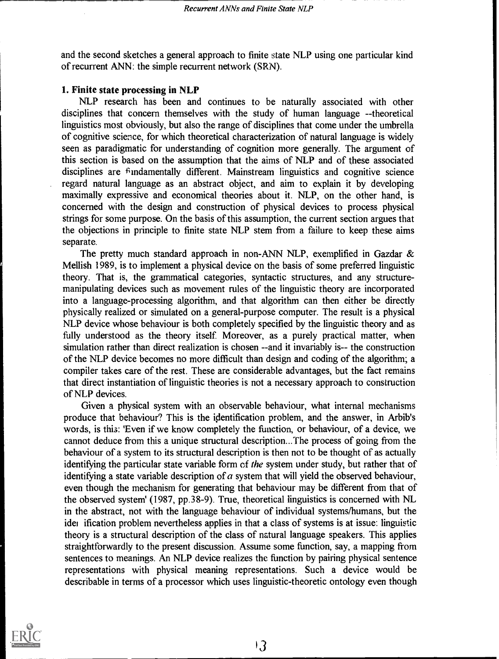and the second sketches a general approach to finite state NLP using one particular kind of recurrent ANN: the simple recurrent network (SRN).

### 1. Finite state processing in NLP

NLP research has been and continues to be naturally associated with other disciplines that concern themselves with the study of human language --theoretical linguistics most obviously, but also the range of disciplines that come under the umbrella of cognitive science, for which theoretical characterization of natural language is widely seen as paradigmatic for understanding of cognition more generally. The argument of this section is based on the assumption that the aims of NLP and of these associated disciplines are  $\hat{r}$  indamentally different. Mainstream linguistics and cognitive science regard natural language as an abstract object, and aim to explain it by developing maximally expressive and economical theories about it. NLP, on the other hand, is concerned with the design and construction of physical devices to process physical strings for some purpose. On the basis of this assumption, the current section argues that the objections in principle to finite state NLP stem from a failure to keep these aims separate.

The pretty much standard approach in non-ANN NLP, exemplified in Gazdar & Mellish 1989, is to implement a physical device on the basis of some preferred linguistic theory. That is, the grammatical categories, syntactic structures, and any structuremanipulating devices such as movement rules of the linguistic theory are incorporated into a language-processing algorithm, and that algorithm can then either be directly physically realized or simulated on a general-purpose computer. The result is a physical NLP device whose behaviour is both completely specified by the linguistic theory and as fully understood as the theory itself. Moreover, as a purely practical matter, when simulation rather than direct realization is chosen --and it invariably is-- the construction of the NLP device becomes no more difficult than design and coding of the algorithm; a compiler takes care of the rest. These are considerable advantages, but the fact remains that direct instantiation of linguistic theories is not a necessary approach to construction of NLP devices.

Given a physical system with an observable behaviour, what internal mechanisms produce that behaviour? This is the identification problem, and the answer, in Arbib's words, is this: 'Even if we know completely the function, or behaviour, of a device, we cannot deduce from this a unique structural description...The process of going from the behaviour of a system to its structural description is then not to be thought of as actually identifying the particular state variable form of the system under study, but rather that of identifying a state variable description of  $a$  system that will yield the observed behaviour, even though the mechanism for generating that behaviour may be different from that of the observed system' (1987, pp.38-9). True, theoretical linguistics is concerned with NL in the abstract, not with the language behaviour of individual systems/humans, but the idei ification problem nevertheless applies in that a class of systems is at issue: linguistic theory is a structural description of the class of natural language speakers. This applies straightforwardly to the present discussion. Assume some function, say, a mapping from sentences to meanings. An NLP device realizes the function by pairing physical sentence representations with physical meaning representations. Such a device would be describable in terms of a processor which uses linguistic-theoretic ontology even though

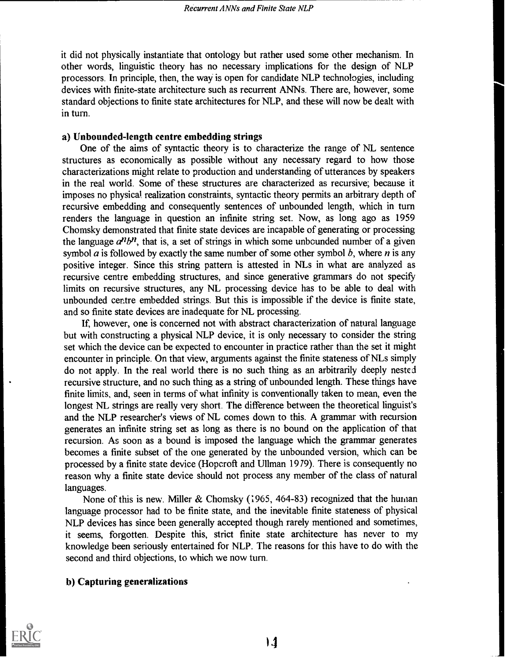it did not physically instantiate that ontology but rather used some other mechanism. In other words, linguistic theory has no necessary implications for the design of NLP processors. In principle, then, the way is open for candidate NLP technologies, including devices with finite-state architecture such as recurrent ANNs. There are, however, some standard objections to finite state architectures for NLP, and these will now be dealt with in turn.

# a) Unbounded-length centre embedding strings

One of the aims of syntactic theory is to characterize the range of NL sentence structures as economically as possible without any necessary regard to how those characterizations might relate to production and understanding of utterances by speakers in the real world. Some of these structures are characterized as recursive; because it imposes no physical realization constraints, syntactic theory permits an arbitrary depth of recursive embedding and consequently sentences of unbounded length, which in turn renders the language in question an infinite string set. Now, as long ago as 1959 Chomsky demonstrated that finite state devices are incapable of generating or processing the language  $a^n b^n$ , that is, a set of strings in which some unbounded number of a given symbol  $\alpha$  is followed by exactly the same number of some other symbol  $\beta$ , where  $n$  is any positive integer. Since this string pattern is attested in NLs in what are analyzed as recursive centre embedding structures, and since generative grammars do not specify limits on recursive structures, any NL processing device has to be able to deal with unbounded centre embedded strings. But this is impossible if the device is finite state, and so finite state devices are inadequate for NL processing.

If, however, one is concerned not with abstract characterization of natural language but with constructing a physical NLP device, it is only necessary to consider the string set which the device can be expected to encounter in practice rather than the set it might encounter in principle. On that view, arguments against the finite stateness of NLs simply do not apply. In the real world there is no such thing as an arbitrarily deeply nested recursive structure, and no such thing as a string of unbounded length. These things have finite limits, and, seen in terms of what infinity is conventionally taken to mean, even the longest NL, strings are really very short. The difference between the theoretical linguist's and the NLP researcher's views of NL comes down to this. A grammar with recursion generates an infinite string set as long as there is no bound on the application of that recursion. As soon as a bound is imposed the language which the grammar generates becomes a finite subset of the one generated by the unbounded version, which can be processed by a finite state device (Hoperoft and Ullman 1979). There is consequently no reason why a finite state device should not process any member of the class of natural languages.

None of this is new. Miller & Chomsky (1965, 464-83) recognized that the human language processor had to be finite state, and the inevitable finite stateness of physical NLP devices has since been generally accepted though rarely mentioned and sometimes, it seems, forgotten. Despite this, strict finite state architecture has never to my knowledge been seriously entertained for NLP. The reasons for this have to do with the second and third objections, to which we now turn.

# b) Capturing generalizations

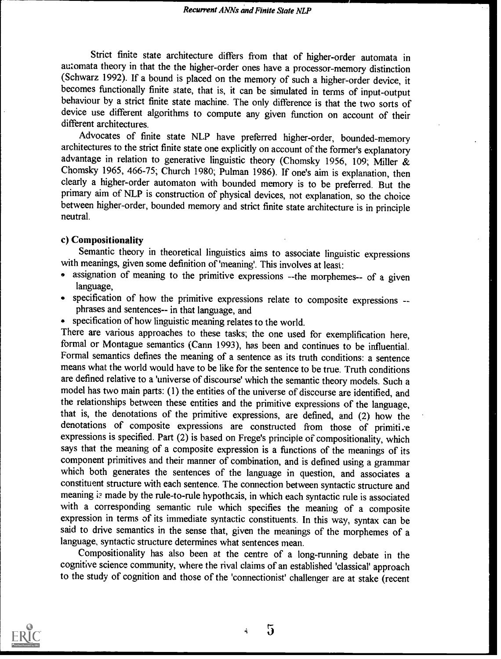Strict finite state architecture differs from that of higher-order automata in automata theory in that the the higher-order ones have a processor-memory distinction (Schwarz 1992). If a bound is placed on the memory of such a higher-order device, it becomes functionally finite state, that is, it can be simulated in terms of input-output behaviour by a strict finite state machine. The only difference is that the two sorts of device use different algorithms to compute any given function on account of their different architectures.

Advocates of finite state NLP have preferred higher-order, bounded-memory architectures to the strict finite state one explicitly on account of the former's explanatory advantage in relation to generative linguistic theory (Chomsky 1956, 109; Miller & Chomsky 1965, 466-75; Church 1980; Pulman 1986). If one's aim is explanation, then clearly a higher-order automaton with bounded memory is to be preferred. But the primary aim of NLP is construction of physical devices, not explanation, so the choice between higher-order, bounded memory and strict finite state architecture is in principle neutral.

# c) Compositionality

Semantic theory in theoretical linguistics aims to associate linguistic expressions with meanings, given some definition of 'meaning'. This involves at least:

- assignation of meaning to the primitive expressions --the morphemes-- of a given language,
- specification of how the primitive expressions relate to composite expressions -- phrases and sentences-- in that language, and
- specification of how linguistic meaning relates to the world.

There are various approaches to these tasks; the one used for exemplification here, formal or Montague semantics (Cann 1993), has been and continues to be influential. Formal semantics defines the meaning of a sentence as its truth conditions: a sentence means what the world would have to be like for the sentence to be true. Truth conditions are defined relative to a 'universe of discourse' which the semantic theory models. Such a model has two main parts: (1) the entities of the universe of discourse are identified, and the relationships between these entities and the primitive expressions of the language, that is, the denotations of the primitive expressions, are defined, and (2) how the denotations of composite expressions are constructed from those of primitive expressions is specified. Part (2) is based on Frege's principle of compositionality, which says that the meaning of a composite expression is a functions of the meanings of its component primitives and their manner of combination, and is defined using a grammar which both generates the sentences of the language in question, and associates a constituent structure with each sentence. The connection between syntactic structure and meaning is made by the rule-to-rule hypothesis, in which each syntactic rule is associated with a corresponding semantic rule which specifies the meaning of a composite expression in terms of its immediate syntactic constituents. In this way, syntax can be said to drive semantics in the sense that, given the meanings of the morphemes of a language, syntactic structure determines what sentences mean.

Compositionality has also been at the centre of a long-running debate in the cognitive science community, where the rival claims of an established 'classical' approach to the study of cognition and those of the 'connectionist' challenger are at stake (recent



 $\overline{5}$ 4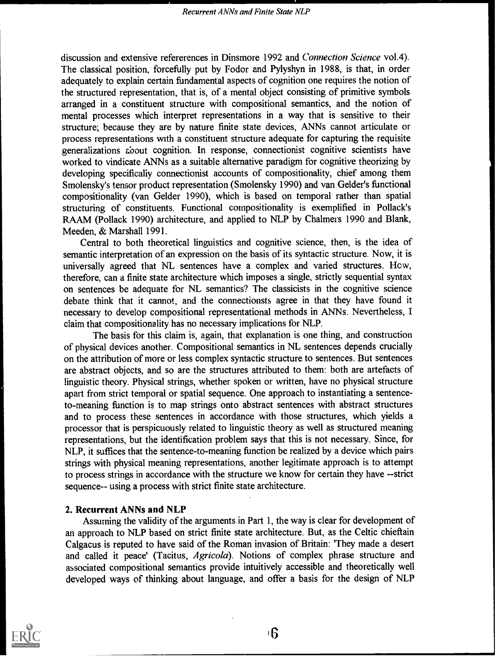discussion and extensive refererences in Dinsmore 1992 and Connection Science vol.4). The classical position, forcefully put by Fodor and Pylyshyn in 1988, is that, in order adequately to explain certain fundamental aspects of cognition one requires the notion of the structured representation, that is, of a mental object consisting of primitive symbols arranged in a constituent structure with compositional semantics, and the notion of mental processes which interpret representations in a way that is sensitive to their structure; because they are by nature finite state devices, ANNs cannot articulate or process representations with a constituent structure adequate for capturing the requisite generalizations about cognition. In response, connectionist cognitive scientists have worked to vindicate ANNs as a suitable alternative paradigm for cognitive theorizing by developing specifically connectionist accounts of compositionality, chief among them Smolensky's tensor product representation (Smolensky 1990) and van Gelder's functional compositionality (van Gelder 1990), which is based on temporal rather than spatial structuring of constituents. Functional compositionality is exemplified in Pollack's RAAM (Pollack 1990) architecture, and applied to NLP by Chalmers 1990 and Blank, Meeden, & Marshall 1991.

Central to both theoretical linguistics and cognitive science, then, is the idea of semantic interpretation of an expression on the basis of its syntactic structure. Now, it is universally agreed that NL sentences have a complex and varied structures. Hew, therefore, can a finite state architecture which imposes a single, strictly sequential syntax on sentences be adequate for NL semantics? The classicists in the cognitive science debate think that it cannot, and the connectionsts agree in that they have found it necessary to develop compositional representational methods in ANNs. Nevertheless, I claim that compositionality has no necessary implications for NLP.

The basis for this claim is, again, that explanation is one thing, and construction of physical devices another. Compositional semantics in NL sentences depends crucially on the attribution of more or less complex syntactic structure to sentences. But sentences are abstract objects, and so are the structures attributed to them: both are artefacts of linguistic theory. Physical strings, whether spoken or written, have no physical structure apart from strict temporal or spatial sequence. One approach to instantiating a sentenceto-meaning function is to map strings onto abstract sentences with abstract structures and to process these sentences in accordance with those structures, which yields a processor that is perspicuously related to linguistic theory as well as structured meaning representations, but the identification problem says that this is not necessary. Since, for NLP, it suffices that the sentence-to-meaning function be realized by a device which pairs strings with physical meaning representations, another legitimate approach is to attempt to process strings in accordance with the structure we know for certain they have --strict sequence-- using a process with strict finite state architecture.

## 2. Recurrent ANNs and NLP

Assuming the validity of the arguments in Part 1, the way is clear for development of an approach to NLP based on strict finite state architecture. But, as the Celtic chieftain Calgacus is reputed to have said of the Roman invasion of Britain: 'They made a desert and called it peace' (Tacitus, Agricola). Notions of complex phrase structure and associated compositional semantics provide intuitively accessible and theoretically well developed ways of thinking about language, and offer a basis for the design of NLP

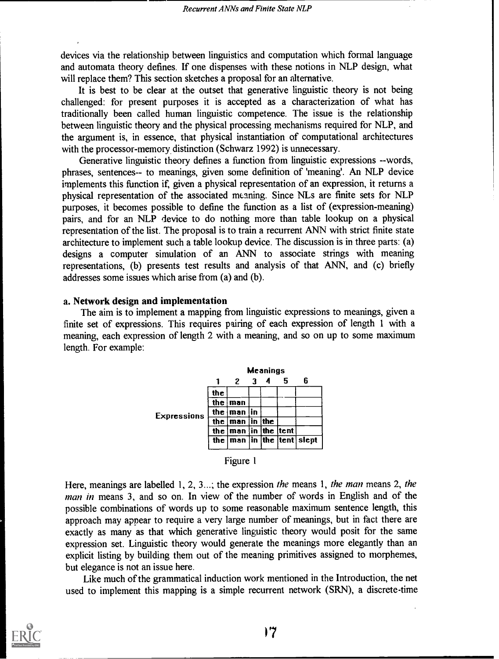devices via the relationship between linguistics and computation which formal language and automata theory defines. If one dispenses with these notions in NLP design, what will replace them? This section sketches a proposal for an alternative.

It is best to be clear at the outset that generative linguistic theory is not being challenged: for present purposes it is accepted as a characterization of what has traditionally been called human linguistic competence. The issue is the relationship between linguistic theory and the physical processing mechanisms required for NLP, and the argument is, in essence, that physical instantiation of computational architectures with the processor-memory distinction (Schwarz 1992) is unnecessary.

Generative linguistic theory defines a function from linguistic expressions --words, phrases, sentences-- to meanings, given some definition of 'meaning'. An NLP device implements this function if, given a physical representation of an expression, it returns a physical representation of the associated meaning. Since NILs are finite sets for NLP purposes, it becomes possible to define the function as a list of (expression-meaning) pairs, and for an NLP device to do nothing more than table lookup on a physical representation of the list. The proposal is to train a recurrent ANN with strict finite state architecture to implement such a table lookup device. The discussion is in three parts: (a) designs a computer simulation of an ANN to associate strings with meaning representations, (b) presents test results and analysis of that ANN, and (c) briefly addresses some issues which arise from (a) and (b).

#### a. Network design and implementation

The aim is to implement a mapping from linguistic expressions to meanings, given a finite set of expressions. This requires pairing of each expression of length 1 with a meaning, each expression of length 2 with a meaning, and so on up to some maximum length. For example:



| Figure 1 |  |
|----------|--|
|----------|--|

Here, meanings are labelled 1, 2, 3...; the expression the means 1, the man means 2, the man in means 3, and so on. In view of the number of words in English and of the possible combinations of words up to some reasonable maximum sentence length, this approach may appear to require a very large number of meanings, but in fact there are exactly as many as that which generative linguistic theory would posit for the same expression set. Linguistic theory would generate the meanings more elegantly than an explicit listing by building them out of the meaning primitives assigned to morphemes, but elegance is not an issue here.

Like much of the grammatical induction work mentioned in the Introduction, the net used to implement this mapping is a simple recurrent network (SRN), a discrete-time

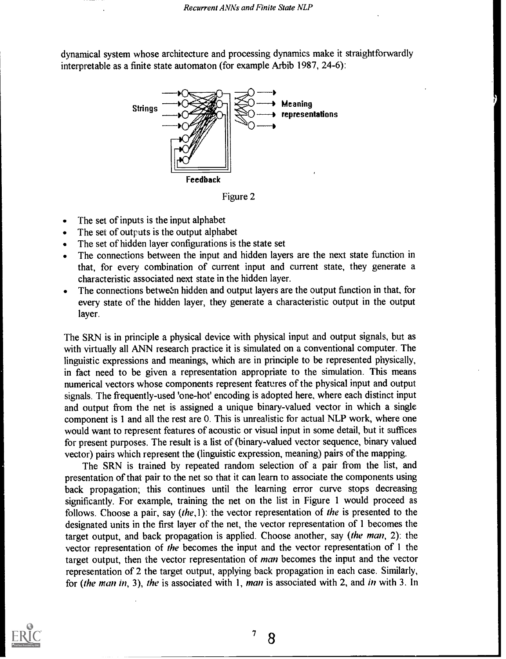dynamical system whose architecture and processing dynamics make it straightforwardly interpretable as a finite state automaton (for example Arbib 1987, 24-6):



Figure 2

- The set of inputs is the input alphabet  $\bullet$
- The set of outputs is the output alphabet  $\bullet$
- The set of hidden layer configurations is the state set
- The connections between the input and hidden layers are the next state function in that, for every combination of current input and current state, they generate a characteristic associated next state in the hidden layer.
- The connections between hidden and output layers are the output function in that, for every state of the hidden layer, they generate a characteristic output in the output layer.

The SRN is in principle a physical device with physical input and output signals, but as with virtually all ANN research practice it is simulated on a conventional computer. The linguistic expressions and meanings, which are in principle to be represented physically, in fact need to be given a representation appropriate to the simulation. This means numerical vectors whose components represent features of the physical input and output signals. The frequently-used 'one-hot' encoding is adopted here, where each distinct input and output from the net is assigned a unique binary-valued vector in which a single component is 1 and all the rest are 0. This is unrealistic for actual NLP work, where one would want to represent features of acoustic or visual input in some detail, but it suffices for present purposes. The result is a list of (binary-valued vector sequence, binary valued vector) pairs which represent the (linguistic expression, meaning) pairs of the mapping.

The SRN is trained by repeated random selection of a pair from the list, and presentation of that pair to the net so that it can learn to associate the components using back propagation; this continues until the learning error curve stops decreasing significantly. For example, training the net on the list in Figure 1 would proceed as follows. Choose a pair, say (the,1): the vector representation of the is presented to the designated units in the first layer of the net, the vector representation of 1 becomes the target output, and back propagation is applied. Choose another, say (the man, 2): the vector representation of the becomes the input and the vector representation of 1 the target output, then the vector representation of *man* becomes the input and the vector representation of 2 the target output, applying back propagation in each case. Similarly, for (the man in, 3), the is associated with 1, man is associated with 2, and in with 3. In



78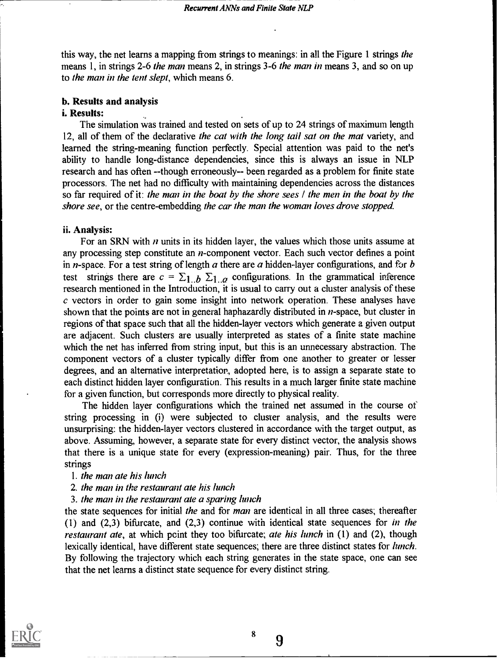this way, the net learns a mapping from strings to meanings: in all the Figure 1 strings the means 1, in strings 2-6 *the man* means 2, in strings 3-6 *the man in* means 3, and so on up to the man in the tent slept, which means 6.

### b. Results and analysis

### i. Results:

The simulation was trained and tested on sets of up to 24 strings of maximum length 12, all of them of the declarative the cat with the long tail sat on the mat variety, and learned the string-meaning function perfectly. Special attention was paid to the net's ability to handle long-distance dependencies, since this is always an issue in NLP research and has often --though erroneously-- been regarded as a problem for finite state processors. The net had no difficulty with maintaining dependencies across the distances so far required of it: the man in the boat by the shore sees  $\ell$  the men in the boat by the shore see, or the centre-embedding the car the man the woman loves drove stopped.

#### ii. Analysis:

For an SRN with  $n$  units in its hidden layer, the values which those units assume at any processing step constitute an *n*-component vector. Each such vector defines a point in *n*-space. For a test string of length  $a$  there are  $a$  hidden-layer configurations, and for  $b$ test strings there are  $c = \sum_{n=1}^{\infty} b_n \sum_{n=1}^{\infty} c_n$  configurations. In the grammatical inference research mentioned in the Introduction, it is usual to carry out a cluster analysis of these  $c$  vectors in order to gain some insight into network operation. These analyses have shown that the points are not in general haphazardly distributed in *n*-space, but cluster in regions of that space such that all the hidden-layer vectors which generate a given output are adjacent. Such clusters are usually interpreted as states of a finite state machine which the net has inferred from string input, but this is an unnecessary abstraction. The component vectors of a cluster typically differ from one another to greater or lesser degrees, and an alternative interpretation, adopted here, is to assign a separate state to each distinct hidden layer configuration. This results in a much larger finite state machine for a given function, but corresponds more directly to physical reality.

The hidden layer configurations which the trained net assumed in the course of string processing in (i) were subjected to cluster analysis, and the results were unsurprising: the hidden-layer vectors clustered in accordance with the target output, as above. Assuming, however, a separate state for every distinct vector, the analysis shows that there is a unique state for every (expression-meaning) pair. Thus, for the three strings

#### 1. the man ate his lunch

- 2. the man in the restaurant ate his lunch
- 3. the man in the restaurant ate a sparing lunch

the state sequences for initial the and for man are identical in all three cases; thereafter (1) and (2,3) bifurcate, and (2,3) continue with identical state sequences for in the *restaurant ate*, at which point they too bifurcate; *ate his lunch* in  $(1)$  and  $(2)$ , though lexically identical, have different state sequences; there are three distinct states for *lunch*. By following the trajectory which each string generates in the state space, one can see that the net learns a distinct state sequence for every distinct string.



8

9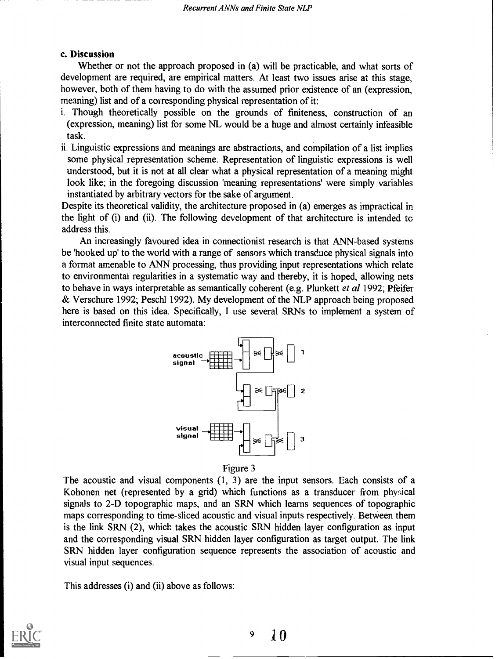# c. Discussion

Whether or not the approach proposed in (a) will be practicable, and what sorts of development are required, are empirical matters. At least two issues arise at this stage, however, both of them having to do with the assumed prior existence of an (expression, meaning) list and of a corresponding physical representation of it:

- i. Though theoretically possible on the grounds of finiteness, construction of an (expression, meaning) list for some NL would be a huge and almost certainly infeasible task.
- ii. Linguistic expressions and meanings are abstractions, and compilation of a list implies some physical representation scheme. Representation of linguistic expressions is well understood, but it is not at all clear what a physical representation of a meaning might look like; in the foregoing discussion 'meaning representations' were simply variables instantiated by arbitrary vectors for the sake of argument.

Despite its theoretical validity, the architecture proposed in (a) emerges as impractical in the light of (i) and (ii). The following development of that architecture is intended to address this.

An increasingly favoured idea in connectionist research is that ANN-based systems be 'hooked up' to the world with a range of sensors which transduce physical signals into a format amenable to ANN processing, thus providing input representations which relate to environmental regularities in a systematic way and thereby, it is hoped, allowing nets to behave in ways interpretable as semantically coherent (e.g. Plunkett *et al* 1992; Pfeifer & Verschure 1992; Peschl 1992). My development of the NLP approach being proposed here is based on this idea. Specifically, I use several SRNs to implement a system of interconnected finite state automata:



Figure 3

The acoustic and visual components (1, 3) are the input sensors. Each consists of a Kohonen net (represented by a grid) which functions as a transducer from physical signals to 2-D topographic maps, and an SRN which learns sequences of topographic maps corresponding to time-sliced acoustic and visual inputs respectively. Between them is the link SRN (2), which takes the acoustic SRN hidden layer configuration as input and the corresponding visual SRN hidden layer configuration as target output. The link SRN hidden layer configuration sequence represents the association of acoustic and visual input sequences.

This addresses (i) and (ii) above as follows:

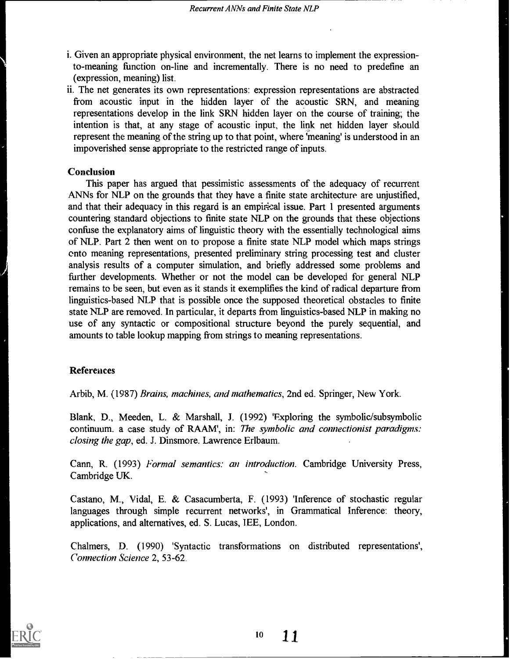- i. Given an appropriate physical environment, the net learns to implement the expressionto-meaning function on-line and incrementally. There is no need to predefine an (expression, meaning) list.
- ii. The net generates its own representations: expression representations are abstracted from acoustic input in the hidden layer of the acoustic SRN, and meaning representations develop in the link SRN hidden layer on the course of training; the intention is that, at any stage of acoustic input, the link net hidden layer should represent the meaning of the string up to that point, where 'meaning' is understood in an impoverished sense appropriate to the restricted range of inputs.

### Conclusion

This paper has argued that pessimistic assessments of the adequacy of recurrent ANNs for NLP on the grounds that they have a finite state architecture are unjustified, and that their adequacy in this regard is an empirical issue. Part 1 presented arguments countering standard objections to finite state NLP on the grounds that these objections confuse the explanatory aims of linguistic theory with the essentially technological aims of NLP. Part 2 then went on to propose a finite state NLP model which maps strings onto meaning representations, presented preliminary string processing test and cluster analysis results of a computer simulation, and briefly addressed some problems and further developments. Whether or not the model can be developed for general NLP remains to be seen, but even as it stands it exemplifies the kind of radical departure from linguistics-based NLP that is possible once the supposed theoretical obstacles to finite state NLP are removed. In particular, it departs from linguistics-based NLP in making no use of any syntactic or compositional structure beyond the purely sequential, and amounts to table lookup mapping from strings to meaning representations.

# References

Arbib, M. (1987) Brains, machines, and mathematics, 2nd ed. Springer, New York.

Blank, D., Meeden, L. & Marshall, J. (1992) 'Exploring the symbolic/subsymbolic continuum. a case study of RAAM', in: The symbolic and connectionist paradigms: closing the gap, ed. J. Dinsmore. Lawrence Erlbaum.

Cann, R. (1993) Formal semantics: an introduction. Cambridge University Press, Cambridge UK.

Castano, M., Vidal, E. & Casacumberta, F. (1993) 'Inference of stochastic regular languages through simple recurrent networks', in Grammatical Inference: theory, applications, and alternatives, ed. S. Lucas, 1EE, London.

Chalmers, D. (1990) 'Syntactic transformations on distributed representations', Connection Science 2, 53-62.



11 10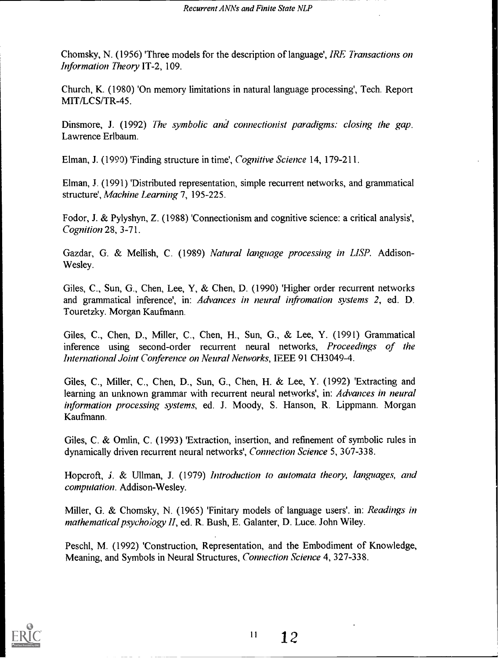Chomsky, N. (1956) 'Three models for the description of language', IRE Transactions on Information Theory IT-2, 109.

Church, K. (1980) 'On memory limitations in natural language processing', Tech. Report MIT/LCS/TR-45.

Dinsmore, J. (1992) The symbolic and connectionist paradigms: closing the gap. Lawrence Erlbaum.

Elman, J. (1990) 'Finding structure in time', Cognitive Science 14, 179-211.

Elman, J. (1991) 'Distributed representation, simple recurrent networks, and grammatical structure', Machine Learning 7, 195-225.

Fodor, J. & Pylyshyn, Z. (1988) 'Connectionism and cognitive science: a critical analysis', Cognition 28, 3-71.

Gazdar, G. & Mellish, C. (1989) Natural language processing in LISP. Addison-Wesley.

Giles, C., Sun, G., Chen, Lee, Y, & Chen, D. (1990) 'Higher order recurrent networks and grammatical inference', in: Advances in neural infromation systems 2, ed. D. Touretzky. Morgan Kaufmann.

Giles, C., Chen, D., Miller, C., Chen, H., Sun, G., & Lee, Y. (1991) Grammatical inference using second-order recurrent neural networks, Proceedings of the International Joint Conference on Neural Networks, IEEE 91 CH3049-4.

Giles, C., Miller, C., Chen, D., Sun, G., Chen, H. & Lee, Y. (1992) 'Extracting and learning an unknown grammar with recurrent neural networks', in: Advances in neural information processing systems, ed. J. Moody, S. Hanson, R. Lippmann. Morgan Kaufmann.

Giles, C. & Omlin, C. (1993) 'Extraction, insertion, and refinement of symbolic rules in dynamically driven recurrent neural networks', Connection Science 5, 307-338.

Hoperoft, *j. & Ullman, J. (1979) Introduction to automata theory, languages, and* computation. Addison-Wesley.

Miller, G. & Chomsky, N. (1965) 'Finitary models of language users'. in: *Readings in* mathematical psychoiogy II, ed. R. Bush, E. Galanter, D. Luce. John Wiley.

Peschl, M. (1992) 'Construction, Representation, and the Embodiment of Knowledge, Meaning, and Symbols in Neural Structures, Connection Science 4, 327-338.